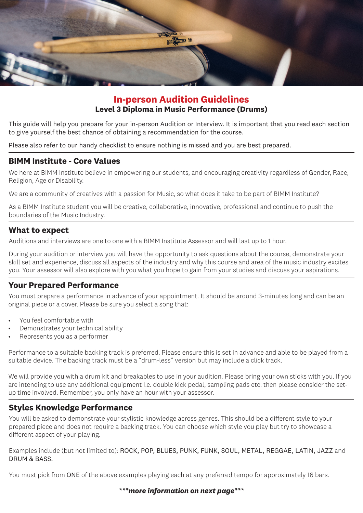

## **In-person Audition Guidelines Level 3 Diploma in Music Performance (Drums)**

This guide will help you prepare for your in-person Audition or Interview. It is important that you read each section to give yourself the best chance of obtaining a recommendation for the course.

Please also refer to our handy checklist to ensure nothing is missed and you are best prepared.

### **BIMM Institute - Core Values**

We here at BIMM Institute believe in empowering our students, and encouraging creativity regardless of Gender, Race, Religion, Age or Disability.

We are a community of creatives with a passion for Music, so what does it take to be part of BIMM Institute?

As a BIMM Institute student you will be creative, collaborative, innovative, professional and continue to push the boundaries of the Music Industry.

## **What to expect**

Auditions and interviews are one to one with a BIMM Institute Assessor and will last up to 1 hour.

During your audition or interview you will have the opportunity to ask questions about the course, demonstrate your skill set and experience, discuss all aspects of the industry and why this course and area of the music industry excites you. Your assessor will also explore with you what you hope to gain from your studies and discuss your aspirations.

## **Your Prepared Performance**

You must prepare a performance in advance of your appointment. It should be around 3-minutes long and can be an original piece or a cover. Please be sure you select a song that:

- You feel comfortable with
- Demonstrates your technical ability
- Represents you as a performer

Performance to a suitable backing track is preferred. Please ensure this is set in advance and able to be played from a suitable device. The backing track must be a "drum-less" version but may include a click track.

We will provide you with a drum kit and breakables to use in your audition. Please bring your own sticks with you. If you are intending to use any additional equipment I.e. double kick pedal, sampling pads etc. then please consider the setup time involved. Remember, you only have an hour with your assessor.

### **Styles Knowledge Performance**

You will be asked to demonstrate your stylistic knowledge across genres. This should be a different style to your prepared piece and does not require a backing track. You can choose which style you play but try to showcase a different aspect of your playing.

Examples include (but not limited to): ROCK, POP, BLUES, PUNK, FUNK, SOUL, METAL, REGGAE, LATIN, JAZZ and DRUM & BASS.

You must pick from ONE of the above examples playing each at any preferred tempo for approximately 16 bars.

#### *\*\*\*more information on next page\*\*\**